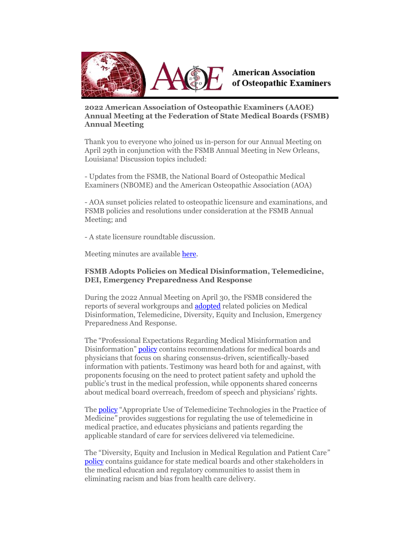

# **American Association** of Osteopathic Examiners

**2022 American Association of Osteopathic Examiners (AAOE) Annual Meeting at the Federation of State Medical Boards (FSMB) Annual Meeting**

Thank you to everyone who joined us in-person for our Annual Meeting on April 29th in conjunction with the FSMB Annual Meeting in New Orleans, Louisiana! Discussion topics included:

- Updates from the FSMB, the National Board of Osteopathic Medical Examiners (NBOME) and the American Osteopathic Association (AOA)

- AOA sunset policies related to osteopathic licensure and examinations, and FSMB policies and resolutions under consideration at the FSMB Annual Meeting; and

- A state licensure roundtable discussion.

Meeting minutes are available [here.](https://linkprotect.cudasvc.com/url?a=http%3a%2f%2flink.quorum.us%2ff%2fa%2f8uUnVKX5dsK-LmQJeVdxYQ~~%2fAACYXwA~%2fRgRkel6zP0RqaHR0cHM6Ly93d3cuZHJvcGJveC5jb20vcy9ucW5waWI2emVmNmRuaXovQUFPRSUyMEFubnVhbCUyME1lZXRpbmclMjBNaW51dGVzJTIwNCUyMDI5JTIwMjIlMjBGSU5BTC5wZGY_ZGw9MFcDc3BjQgpihrPZl2KYMaQNUhlycmljaGFyZHNAb3N0ZW9wYXRoaWMub3JnWAQAAAAA&c=E,1,s78SLtpOYHIV0l3MN8CJ9WLkI6HWk2RyMBo0_rqFjIWjr-HKB4-wLsuWesbcMzSAKHJCW2qbk53PsSF79AdlQLDTGMYsUOST24pzgACIkssdDA,,&typo=1)

#### **FSMB Adopts Policies on Medical Disinformation, Telemedicine, DEI, Emergency Preparedness And Response**

During the 2022 Annual Meeting on April 30, the FSMB considered the reports of several workgroups and [adopted](https://linkprotect.cudasvc.com/url?a=http%3a%2f%2flink.quorum.us%2ff%2fa%2fiNdhumVbqy6Dek5TaElDRw~~%2fAACYXwA~%2fRgRkel6zP4SRA2h0dHBzOi8vbmFtMDIuc2FmZWxpbmtzLnByb3RlY3Rpb24ub3V0bG9vay5jb20vP3VybD1odHRwcyUzQSUyRiUyRmxpbmtwcm90ZWN0LmN1ZGFzdmMuY29tJTJGdXJsJTNGYSUzRGh0dHAlMjUzYSUyNTJmJTI1MmZsaW5rLnF1b3J1bS51cyUyNTJmZiUyNTJmYSUyNTJmUVhFdllZZTBCUzE1NjhXTkhSQy1DQX5-JTI1MmZBQUNZWHdBfiUyNTJmUmdSa1pvb2pQMFNRYUhSMGNITTZMeTkzZDNjdVpuTnRZaTV2Y21jdllXUjJiMk5oWTNrdmJtVjNjeTF5Wld4bFlYTmxjeTltYzIxaUxXRmtiM0IwY3kxd2IyeHBZMmxsY3kxdmJpMXRaV1JwWTJGc0xXUnBjMmx1Wm05eWJXRjBhVzl1TFhSbGJHVnRaV1JwWTJsdVpTMWtaV2t0WlcxbGNtZGxibU41TFhCeVpYQmhjbVZrYm1WemN5MWhibVF0Y21WemNHOXVjMlV2VndOemNHTkNDbUtDSXdXRVlzZldaaHBTR1hKeWFXTm9ZWEprYzBCdmMzUmxiM0JoZEdocFl5NXZjbWRZQkFBQUFBQX4lMjZjJTNERSUyQzElMkNzWmdYbzdfTTFmUU03UnhiOE1fbXpNWW9KTjMyMmJpaWtrWG45a1cwbWdGMVBkSjdleWNIMGo3Sjd0ZERNYUhEbzBfSWZCSVAtSnMxbWxUb3J2RmU0ZzVLZlU5M1JFUWFkME9YdTQwZSUyNnR5cG8lM0QxJmRhdGE9MDUlN0MwMSU3Q2FjYXJheWFubm9wb3Vsb3MlNDBMaWZlc3Bhbi5vcmclN0MzYmM0ZTcwYTlkZWI0OTkyYjIzNTA4ZGEzOTE2N2M4NyU3QzM3NjRlN2QwOGZmZjRjOGNiZDEzMDZjNjg4ZmVkNzg0JTdDMCU3QzAlN0M2Mzc4ODUwNjYwMDcxMDY2ODMlN0NVbmtub3duJTdDVFdGcGJHWnNiM2Q4ZXlKV0lqb2lNQzR3TGpBd01EQWlMQ0pRSWpvaVYybHVNeklpTENKQlRpSTZJazFoYVd3aUxDSlhWQ0k2TW4wJTNEJTdDMzAwMCU3QyU3QyU3QyZzZGF0YT1sbjJFTlMzQzhYcjFycVU0T3FjSzZlelp6c1RBQVJkNmcyUzVUbk9mNkR3JTNEJnJlc2VydmVkPTBXA3NwY0IKYoaz2ZdimDGkDVIZcnJpY2hhcmRzQG9zdGVvcGF0aGljLm9yZ1gEAAAAAA~~&c=E,1,7refaADHlm93pglHlU-BRjF-A2VZfv832ubq4Bsd-xgkiNn3m5pI32cwsQx_1u_KkH_ks65a705bT7ZKCDyR1DGpbIP1JHuloVw9ejCfExJx3veZ_9Li03wxZX6O&typo=1) related policies on Medical Disinformation, Telemedicine, Diversity, Equity and Inclusion, Emergency Preparedness And Response.

The "Professional Expectations Regarding Medical Misinformation and Disinformation" [policy](https://linkprotect.cudasvc.com/url?a=http%3a%2f%2flink.quorum.us%2ff%2fa%2f19MqUG8vsnrroPTP37ykxw~~%2fAACYXwA~%2fRgRkel6zP0RtaHR0cHM6Ly93d3cuZnNtYi5vcmcvc2l0ZWFzc2V0cy9hZHZvY2FjeS9wb2xpY2llcy9ldGhpY3MtY29tbWl0dGVlLXJlcG9ydC1taXNpbmZvcm1hdGlvbi1hcHJpbC0yMDIyLWZpbmFsLnBkZlcDc3BjQgpihrPZl2KYMaQNUhlycmljaGFyZHNAb3N0ZW9wYXRoaWMub3JnWAQAAAAA&c=E,1,yVLA1-OoyHdFPI7Nc4kaw64CMyoQpPbTQlsEITid-YnhpLM-TtLXPixpJ_JVcqScFRcRvVwy6kZSkQcLEqL6jxXwu2HA6568-sPjwm-W19TNZ6I,&typo=1) contains recommendations for medical boards and physicians that focus on sharing consensus-driven, scientifically-based information with patients. Testimony was heard both for and against, with proponents focusing on the need to protect patient safety and uphold the public's trust in the medical profession, while opponents shared concerns about medical board overreach, freedom of speech and physicians' rights.

The **policy** "Appropriate Use of Telemedicine Technologies in the Practice of Medicine*"* provides suggestions for regulating the use of telemedicine in medical practice, and educates physicians and patients regarding the applicable standard of care for services delivered via telemedicine.

The "Diversity, Equity and Inclusion in Medical Regulation and Patient Care*"* [policy](https://linkprotect.cudasvc.com/url?a=http%3a%2f%2flink.quorum.us%2ff%2fa%2fbxEDiAPa-vIwp2STygiYkg~~%2fAACYXwA~%2fRgRkel6zP0RZaHR0cHM6Ly93d3cuZnNtYi5vcmcvc2l0ZWFzc2V0cy9hZHZvY2FjeS9wb2xpY2llcy9kZWktaW50ZXJpbS1yZXBvcnQtYXByaWwtMjAyMi1maW5hbC5wZGZXA3NwY0IKYoaz2ZdimDGkDVIZcnJpY2hhcmRzQG9zdGVvcGF0aGljLm9yZ1gEAAAAAA~~&c=E,1,x60MNUDW3joURRAd8AZ2ecFlIOn2woSA2N2H0w1Mw35r1kS10MhhoROEahFsyP3noyp3y9qsh6JeWPfwyNTVe3nq755gok1SLgM8xq6Mk3RWUiw,&typo=1) contains guidance for state medical boards and other stakeholders in the medical education and regulatory communities to assist them in eliminating racism and bias from health care delivery.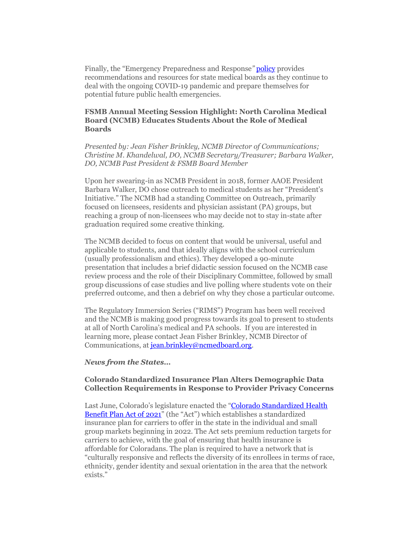Finally, the "Emergency Preparedness and Response*"* [policy](https://linkprotect.cudasvc.com/url?a=http%3a%2f%2flink.quorum.us%2ff%2fa%2fq55-5eIZv713OdnNGUdQzQ~~%2fAACYXwA~%2fRgRkel6zP0RjaHR0cHM6Ly93d3cuZnNtYi5vcmcvc2l0ZWFzc2V0cy9hZHZvY2FjeS9wb2xpY2llcy9lbWVyZ2VuY3ktcHJlcGFyZWRuZXNzLXJlcG9ydC1hcHJpbC0yMDIyZmluYWwucGRmVwNzcGNCCmKGs9mXYpgxpA1SGXJyaWNoYXJkc0Bvc3Rlb3BhdGhpYy5vcmdYBAAAAAA~&c=E,1,mcHrYJvAQI_uTIKF5XJ-8UKPPiGC83I9Og7REqMmdvDi_o6KjLpOR4SePLUVpjZRVISGEEOtMbVu6RMK6fj845G2B3NkuwHYP0-yH71dxSg3hN0H9iC1JQ,,&typo=1) provides recommendations and resources for state medical boards as they continue to deal with the ongoing COVID-19 pandemic and prepare themselves for potential future public health emergencies.

## **FSMB Annual Meeting Session Highlight: North Carolina Medical Board (NCMB) Educates Students About the Role of Medical Boards**

*Presented by: Jean Fisher Brinkley, NCMB Director of Communications; Christine M. Khandelwal, DO, NCMB Secretary/Treasurer; Barbara Walker, DO, NCMB Past President & FSMB Board Member*

Upon her swearing-in as NCMB President in 2018, former AAOE President Barbara Walker, DO chose outreach to medical students as her "President's Initiative." The NCMB had a standing Committee on Outreach, primarily focused on licensees, residents and physician assistant (PA) groups, but reaching a group of non-licensees who may decide not to stay in-state after graduation required some creative thinking.

The NCMB decided to focus on content that would be universal, useful and applicable to students, and that ideally aligns with the school curriculum (usually professionalism and ethics). They developed a 90-minute presentation that includes a brief didactic session focused on the NCMB case review process and the role of their Disciplinary Committee, followed by small group discussions of case studies and live polling where students vote on their preferred outcome, and then a debrief on why they chose a particular outcome.

The Regulatory Immersion Series ("RIMS") Program has been well received and the NCMB is making good progress towards its goal to present to students at all of North Carolina's medical and PA schools. If you are interested in learning more, please contact Jean Fisher Brinkley, NCMB Director of Communications, a[t jean.brinkley@ncmedboard.org.](mailto:jean.brinkley@ncmedboard.org)

#### *News from the States…*

### **Colorado Standardized Insurance Plan Alters Demographic Data Collection Requirements in Response to Provider Privacy Concerns**

Last June, Colorado's legislature enacted the "Colorado Standardized Health [Benefit Plan Act of 2021](https://linkprotect.cudasvc.com/url?a=http%3a%2f%2flink.quorum.us%2ff%2fa%2f0CkifwnXbzUHJSrWR0cpRA~~%2fAACYXwA~%2fRgRkel6zP4Q7A2h0dHBzOi8vbmFtMDIuc2FmZWxpbmtzLnByb3RlY3Rpb24ub3V0bG9vay5jb20vP3VybD1odHRwcyUzQSUyRiUyRmxpbmtwcm90ZWN0LmN1ZGFzdmMuY29tJTJGdXJsJTNGYSUzRGh0dHAlMjUzYSUyNTJmJTI1MmZsaW5rLnF1b3J1bS51cyUyNTJmZiUyNTJmYSUyNTJmbWVoN3owWUVJcHlucUZXWGl2Xzhxd35-JTI1MmZBQUNZWHdBfiUyNTJmUmdSa1pvb2pQMFJDYUhSMGNITTZMeTlzWldjdVkyOXNiM0poWkc4dVoyOTJMM05wZEdWekwyUmxabUYxYkhRdlptbHNaWE12TWpBeU1XRmZNVEl6TWw5emFXZHVaV1F1Y0dSbVZ3TnpjR05DQ21LQ0l3V0VZc2ZXWmhwU0dYSnlhV05vWVhKa2MwQnZjM1JsYjNCaGRHaHBZeTV2Y21kWUJBQUFBQUF-JTI2YyUzREUlMkMxJTJDOTgwdnQzdDlsRWQ1aHlyLWxiTDdoRURjOTY1MkhQdVFjYllvUlNET1lFUmhTZDNDUFJLZkxBRmlRZnpNZkk0Yk1IWi1SMXZoZVZQY01ZcllJQ1E4QXY2cUJSRHNRUzZOelBBdUZlUHl5ZTRWQ1N0TEJJRjhzTGs3JTI2dHlwbyUzRDEmZGF0YT0wNSU3QzAxJTdDYWNhcmF5YW5ub3BvdWxvcyU0MExpZmVzcGFuLm9yZyU3QzNiYzRlNzBhOWRlYjQ5OTJiMjM1MDhkYTM5MTY3Yzg3JTdDMzc2NGU3ZDA4ZmZmNGM4Y2JkMTMwNmM2ODhmZWQ3ODQlN0MwJTdDMCU3QzYzNzg4NTA2NjAwNzI2Mjg5NiU3Q1Vua25vd24lN0NUV0ZwYkdac2IzZDhleUpXSWpvaU1DNHdMakF3TURBaUxDSlFJam9pVjJsdU16SWlMQ0pCVGlJNklrMWhhV3dpTENKWFZDSTZNbjAlM0QlN0MzMDAwJTdDJTdDJTdDJnNkYXRhPW5xTk5mR1UxU2ZQRm5GZjZidXNCTFBycDJZNWd4NUQ5SEtUSzNmTXBvJTJGUSUzRCZyZXNlcnZlZD0wVwNzcGNCCmKGs9mXYpgxpA1SGXJyaWNoYXJkc0Bvc3Rlb3BhdGhpYy5vcmdYBAAAAAA~&c=E,1,DUnt4FKHc785TpdAgq-CM0Lo5pInCqbtEL-5lVxUglhhBB_E1FmhrPgZTO8wLD-RhVoNyCmFS-u23nBbjIuavY3JQ3zqKGI-lcwVfYGuzlShmPREOLRjN9un&typo=1)" (the "Act") which establishes a standardized insurance plan for carriers to offer in the state in the individual and small group markets beginning in 2022. The Act sets premium reduction targets for carriers to achieve, with the goal of ensuring that health insurance is affordable for Coloradans. The plan is required to have a network that is "culturally responsive and reflects the diversity of its enrollees in terms of race, ethnicity, gender identity and sexual orientation in the area that the network exists."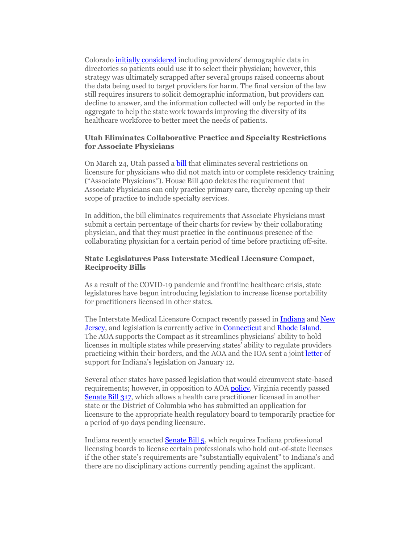Colorad[o initially considered](https://linkprotect.cudasvc.com/url?a=http%3a%2f%2flink.quorum.us%2ff%2fa%2fuCAI_WHEbxur63qIkqm99Q~~%2fAACYXwA~%2fRgRkel6zP4RRA2h0dHBzOi8vbmFtMDIuc2FmZWxpbmtzLnByb3RlY3Rpb24ub3V0bG9vay5jb20vP3VybD1odHRwcyUzQSUyRiUyRmxpbmtwcm90ZWN0LmN1ZGFzdmMuY29tJTJGdXJsJTNGYSUzRGh0dHAlMjUzYSUyNTJmJTI1MmZsaW5rLnF1b3J1bS51cyUyNTJmZiUyNTJmYSUyNTJmZC1qV3NLMTNWUnF4aWc0TmtaMzdPd35-JTI1MmZBQUNZWHdBfiUyNTJmUmdSa1pvb2pQMFJlYUhSMGNITTZMeTkzZDNjdWJuQnlMbTl5Wnk5elpXTjBhVzl1Y3k5b1pXRnNkR2d0YzJodmRITXZNakF5TWk4d05DOHlOUzh4TURrME16VTBOVE0zTDJOdmJHOXlZV1J2TFdSdlkzUnZjaTFrYVhabGNuTnBkSGt0WkdGMFlWY0RjM0JqUWdwaWdpTUZoR0xIMW1ZYVVobHljbWxqYUdGeVpITkFiM04wWlc5d1lYUm9hV011YjNKbldBUUFBQUFBJTI2YyUzREUlMkMxJTJDcnlqTGY3T1lUR2xDdlIyRGktek5XUWd2MHlZSl9MVEM3RWVnd2ZVNlBZU1J0RXVCbU10LVNHRzZNVW9nREc1NFBMYnBadEdLb1VIcXpod3VHbmFubEhGYWZQemh1WmV2X1JYWF9EZEUlMjZ0eXBvJTNEMSZkYXRhPTA1JTdDMDElN0NhY2FyYXlhbm5vcG91bG9zJTQwTGlmZXNwYW4ub3JnJTdDM2JjNGU3MGE5ZGViNDk5MmIyMzUwOGRhMzkxNjdjODclN0MzNzY0ZTdkMDhmZmY0YzhjYmQxMzA2YzY4OGZlZDc4NCU3QzAlN0MwJTdDNjM3ODg1MDY2MDA3MjYyODk2JTdDVW5rbm93biU3Q1RXRnBiR1pzYjNkOGV5SldJam9pTUM0d0xqQXdNREFpTENKUUlqb2lWMmx1TXpJaUxDSkJUaUk2SWsxaGFXd2lMQ0pYVkNJNk1uMCUzRCU3QzMwMDAlN0MlN0MlN0Mmc2RhdGE9WFV3YjRoNCUyQkJibTcxb0dSMVphYmFPbzREZzZjUHptTGw3S2klMkZLQlFGT0ElM0QmcmVzZXJ2ZWQ9MFcDc3BjQgpihrPZl2KYMaQNUhlycmljaGFyZHNAb3N0ZW9wYXRoaWMub3JnWAQAAAAA&c=E,1,c33SLqchr4qSzXi3VVxxcW1Ae9Hk9dX_pbyiGps4rZIz_DNqUBpf6nfJrIsvvkXUVdZVkNmQOouxYLYzogAHuCC21M_ue1kFVa8d44PJ-5gu4Scio8XK&typo=1) including providers' demographic data in directories so patients could use it to select their physician; however, this strategy was ultimately scrapped after several groups raised concerns about the data being used to target providers for harm. The final version of the law still requires insurers to solicit demographic information, but providers can decline to answer, and the information collected will only be reported in the aggregate to help the state work towards improving the diversity of its healthcare workforce to better meet the needs of patients.

#### **Utah Eliminates Collaborative Practice and Specialty Restrictions for Associate Physicians**

On March 24, Utah passed a [bill](https://linkprotect.cudasvc.com/url?a=http%3a%2f%2flink.quorum.us%2ff%2fa%2f4nvqOdQsYDK5OMOpBSX8YA~~%2fAACYXwA~%2fRgRkel6zP4RFA2h0dHBzOi8vbmFtMDIuc2FmZWxpbmtzLnByb3RlY3Rpb24ub3V0bG9vay5jb20vP3VybD1odHRwcyUzQSUyRiUyRmxpbmtwcm90ZWN0LmN1ZGFzdmMuY29tJTJGdXJsJTNGYSUzRGh0dHAlMjUzYSUyNTJmJTI1MmZsaW5rLnF1b3J1bS51cyUyNTJmZiUyNTJmYSUyNTJmbjJfS3F2aVpEVUpVWmR2bTdrbGxQUX5-JTI1MmZBQUNZWHdBfiUyNTJmUmdSa1pvb2pQMFJNYUhSMGNITTZMeTlzWldkcGMyTmhiaTVqYjIwdlZWUXZkR1Y0ZEM5SVFqQTBNREF2YVdRdk1qVTBPRFF4TWk5VmRHRm9MVEl3TWpJdFNFSXdOREF3TFVWdWNtOXNiR1ZrTG5Ca1psY0RjM0JqUWdwaWdpTUZoR0xIMW1ZYVVobHljbWxqYUdGeVpITkFiM04wWlc5d1lYUm9hV011YjNKbldBUUFBQUFBJTI2YyUzREUlMkMxJTJDeUdqRHlpcnRtRjVnYVpRNXhxRThmaDB4dE9uMnV6aVRNX3VzbGdIMFMyaVo1QWxGSjZBV0FJWVRhUmd4UjdSbTZsUS11VUNtLWFsbFRXc1lsU3VPb0swS01adlQ0VUlKd0pUb0lSMVd4a1lwU254NXh6MCUyQyUyNnR5cG8lM0QxJmRhdGE9MDUlN0MwMSU3Q2FjYXJheWFubm9wb3Vsb3MlNDBMaWZlc3Bhbi5vcmclN0MzYmM0ZTcwYTlkZWI0OTkyYjIzNTA4ZGEzOTE2N2M4NyU3QzM3NjRlN2QwOGZmZjRjOGNiZDEzMDZjNjg4ZmVkNzg0JTdDMCU3QzAlN0M2Mzc4ODUwNjYwMDcyNjI4OTYlN0NVbmtub3duJTdDVFdGcGJHWnNiM2Q4ZXlKV0lqb2lNQzR3TGpBd01EQWlMQ0pRSWpvaVYybHVNeklpTENKQlRpSTZJazFoYVd3aUxDSlhWQ0k2TW4wJTNEJTdDMzAwMCU3QyU3QyU3QyZzZGF0YT1UeHElMkZnNjVMc3pNZlJSREM3bjRjQWJUQUVBdWVDbmt2dEwzTTJLeld4VUklM0QmcmVzZXJ2ZWQ9MFcDc3BjQgpihrPZl2KYMaQNUhlycmljaGFyZHNAb3N0ZW9wYXRoaWMub3JnWAQAAAAA&c=E,1,l7AhjymIz2gFiAKzDOxhBy5EHo_Ngpvvg8ttUSbh7o_5nuyNArodH-Cg7QkXeXZowaGiqMiatdWuCiWXzwPU9xL7XmfZxQnL6bjXL5N3haP0EL-SieGS&typo=1) that eliminates several restrictions on licensure for physicians who did not match into or complete residency training ("Associate Physicians"). House Bill 400 deletes the requirement that Associate Physicians can only practice primary care, thereby opening up their scope of practice to include specialty services.

In addition, the bill eliminates requirements that Associate Physicians must submit a certain percentage of their charts for review by their collaborating physician, and that they must practice in the continuous presence of the collaborating physician for a certain period of time before practicing off-site.

#### **State Legislatures Pass Interstate Medical Licensure Compact, Reciprocity Bills**

As a result of the COVID-19 pandemic and frontline healthcare crisis, state legislatures have begun introducing legislation to increase license portability for practitioners licensed in other states.

The Interstate Medical Licensure Compact recently passed i[n Indiana](https://linkprotect.cudasvc.com/url?a=http%3a%2f%2flink.quorum.us%2ff%2fa%2ffIhN0Zsu7WTidv2LdiG31Q~~%2fAACYXwA~%2fRgRkel6zP4QVA2h0dHBzOi8vbmFtMDIuc2FmZWxpbmtzLnByb3RlY3Rpb24ub3V0bG9vay5jb20vP3VybD1odHRwcyUzQSUyRiUyRmxpbmtwcm90ZWN0LmN1ZGFzdmMuY29tJTJGdXJsJTNGYSUzRGh0dHAlMjUzYSUyNTJmJTI1MmZsaW5rLnF1b3J1bS51cyUyNTJmZiUyNTJmYSUyNTJmR01XdFhxaHJORGdSZUw3Sk5sUGU3Z35-JTI1MmZBQUNZWHdBfiUyNTJmUmdSa1pvb2pQMFFvYUhSMGNITTZMeTlzWldkcGMyTmhiaTVqYjIwdlNVNHZZbWxzYkM5VFFqQXlOVEV2TWpBeU1sY0RjM0JqUWdwaWdpTUZoR0xIMW1ZYVVobHljbWxqYUdGeVpITkFiM04wWlc5d1lYUm9hV011YjNKbldBUUFBQUFBJTI2YyUzREUlMkMxJTJDeWRrX1pVR1RPMGJ1M0cxejFUaUh1RVREXzdRcFNIeElQaUo2ZFp0UGdLcG1Rd0RXbHN0dFRVVDBIbzJGRW9RYWFYYWdra2d3alE1ci10YklVR29BWWhCUk5QWHhuTWlRZzRXcnpVcXlXaGxqbkJnJTJDJTI2dHlwbyUzRDEmZGF0YT0wNSU3QzAxJTdDYWNhcmF5YW5ub3BvdWxvcyU0MExpZmVzcGFuLm9yZyU3QzNiYzRlNzBhOWRlYjQ5OTJiMjM1MDhkYTM5MTY3Yzg3JTdDMzc2NGU3ZDA4ZmZmNGM4Y2JkMTMwNmM2ODhmZWQ3ODQlN0MwJTdDMCU3QzYzNzg4NTA2NjAwNzI2Mjg5NiU3Q1Vua25vd24lN0NUV0ZwYkdac2IzZDhleUpXSWpvaU1DNHdMakF3TURBaUxDSlFJam9pVjJsdU16SWlMQ0pCVGlJNklrMWhhV3dpTENKWFZDSTZNbjAlM0QlN0MzMDAwJTdDJTdDJTdDJnNkYXRhPTl3QzIwbVUlMkJrajNRb0VuaHlidllFSVloS1dzSlZLJTJCeCUyRjg4TnF6UmJvV2MlM0QmcmVzZXJ2ZWQ9MFcDc3BjQgpihrPZl2KYMaQNUhlycmljaGFyZHNAb3N0ZW9wYXRoaWMub3JnWAQAAAAA&c=E,1,ZjE9gUBYUJkGtYCO4aNE4keB5YXvKCUe610TTK_AVFuaN3Q2bhbtOoegswYFIK0iCMcjvJL1NdqTn3rcFDaHL5lUakFElUf6n_JPtvzT5FSiLinaxhP0Z0M2Og,,&typo=1) and New **Jersey**, and legislation is currently active in **Connecticut** and **Rhode Island**. The AOA supports the Compact as it streamlines physicians' ability to hold licenses in multiple states while preserving states' ability to regulate providers practicing within their borders, and the AOA and the IOA sent a join[t letter](https://linkprotect.cudasvc.com/url?a=http%3a%2f%2flink.quorum.us%2ff%2fa%2fLJlhdGBO1G3MKO1hu27IFw~~%2fAACYXwA~%2fRgRkel6zP4RDA2h0dHBzOi8vbmFtMDIuc2FmZWxpbmtzLnByb3RlY3Rpb24ub3V0bG9vay5jb20vP3VybD1odHRwcyUzQSUyRiUyRmxpbmtwcm90ZWN0LmN1ZGFzdmMuY29tJTJGdXJsJTNGYSUzRGh0dHAlMjUzYSUyNTJmJTI1MmZsaW5rLnF1b3J1bS51cyUyNTJmZiUyNTJmYSUyNTJmWGdKWm9JYW1jMnh5T2o2VnJZV3JkZ35-JTI1MmZBQUNZWHdBfiUyNTJmUmdSa1pvb2pQMFJKYUhSMGNEb3ZMM0J2YkdsamVYTmxZWEpqYUM1M2NHVnVaMmx1WlM1amIyMHZkM0F0WTI5dWRHVnVkQzkxY0d4dllXUnpMMGxPTFZOQ0xUSTFNUzFEYjIxd1lXTjBMbkJrWmxjRGMzQmpRZ3BpZ2lNRmhHTEgxbVlhVWhseWNtbGphR0Z5WkhOQWIzTjBaVzl3WVhSb2FXTXViM0puV0FRQUFBQUElMjZjJTNERSUyQzElMkNnQWMyRTRRVk5rZ1hSRWt1X2J1MTN6V3VzTFBGME9oUnFaSTk4cVlTQUZGckdmSWJLRVFWcmItbW1rdjBPcFlCbUpvc3BvTi11M2NOLVotalVhcUhoeWNyNllVVVAzWlJGT1BGQnRWVE1wWWpyOW0xWDFvJTJDJTI2dHlwbyUzRDEmZGF0YT0wNSU3QzAxJTdDYWNhcmF5YW5ub3BvdWxvcyU0MExpZmVzcGFuLm9yZyU3QzNiYzRlNzBhOWRlYjQ5OTJiMjM1MDhkYTM5MTY3Yzg3JTdDMzc2NGU3ZDA4ZmZmNGM4Y2JkMTMwNmM2ODhmZWQ3ODQlN0MwJTdDMCU3QzYzNzg4NTA2NjAwNzI2Mjg5NiU3Q1Vua25vd24lN0NUV0ZwYkdac2IzZDhleUpXSWpvaU1DNHdMakF3TURBaUxDSlFJam9pVjJsdU16SWlMQ0pCVGlJNklrMWhhV3dpTENKWFZDSTZNbjAlM0QlN0MzMDAwJTdDJTdDJTdDJnNkYXRhPVM1QXpBNyUyRmZrNU14aERkNjNieGdHenVwMGxoZEF0OG1lV09rcXFTcCUyQjNRJTNEJnJlc2VydmVkPTBXA3NwY0IKYoaz2ZdimDGkDVIZcnJpY2hhcmRzQG9zdGVvcGF0aGljLm9yZ1gEAAAAAA~~&c=E,1,GX9imASs9bI366qcnv434VeFmqhOjy7ZRfD39PJcvYJy-Js-R_QR6FQtMtBoJQI9eNHzLPsHo1vmHmsrt3TZ9F4lr_HwzSTTkpYbNFCo&typo=1) of support for Indiana's legislation on January 12.

Several other states have passed legislation that would circumvent state-based requirements; however, in opposition to AOA [policy.](https://linkprotect.cudasvc.com/url?a=http%3a%2f%2flink.quorum.us%2ff%2fa%2fo1zZ_b3ZJxaQm9gzuTo7TA~~%2fAACYXwA~%2fRgRkel6zP4RVA2h0dHBzOi8vbmFtMDIuc2FmZWxpbmtzLnByb3RlY3Rpb24ub3V0bG9vay5jb20vP3VybD1odHRwcyUzQSUyRiUyRmxpbmtwcm90ZWN0LmN1ZGFzdmMuY29tJTJGdXJsJTNGYSUzRGh0dHAlMjUzYSUyNTJmJTI1MmZsaW5rLnF1b3J1bS51cyUyNTJmZiUyNTJmYSUyNTJmM3g3MHJJbkY3Zy1SQ3A1ek1UazQ5d35-JTI1MmZBQUNZWHdBfiUyNTJmUmdSa1pvb2pQMFJhYUhSMGNEb3ZMM0J2YkdsamVYTmxZWEpqYUM1M2NHVnVaMmx1WlM1amIyMHZkM0F0WTI5dWRHVnVkQzkxY0d4dllXUnpMMGcyTURFdFFUSXdNVGN0VkVWTVJVMUZSRWxEU1U1RkxVRlBRUzFRVDB4SlExa3VjR1JtVndOemNHTkNDbUtDSXdXRVlzZldaaHBTR1hKeWFXTm9ZWEprYzBCdmMzUmxiM0JoZEdocFl5NXZjbWRZQkFBQUFBQX4lMjZjJTNERSUyQzElMkNjaFRpdWVLWU4xeXdISTNOX1U0SVlocDA3OHFreEM1VGVpekJkcGtqTndrQTJFdlNSZGR5VElZRGc5TERwZzJJRHg1QTUzNUVoRkcxOFdiMFpWOFNHd215MmdwYWlWelVBZk5DbzNTQkYwTWJrYjAlMkMlMjZ0eXBvJTNEMSZkYXRhPTA1JTdDMDElN0NhY2FyYXlhbm5vcG91bG9zJTQwTGlmZXNwYW4ub3JnJTdDM2JjNGU3MGE5ZGViNDk5MmIyMzUwOGRhMzkxNjdjODclN0MzNzY0ZTdkMDhmZmY0YzhjYmQxMzA2YzY4OGZlZDc4NCU3QzAlN0MwJTdDNjM3ODg1MDY2MDA3MjYyODk2JTdDVW5rbm93biU3Q1RXRnBiR1pzYjNkOGV5SldJam9pTUM0d0xqQXdNREFpTENKUUlqb2lWMmx1TXpJaUxDSkJUaUk2SWsxaGFXd2lMQ0pYVkNJNk1uMCUzRCU3QzMwMDAlN0MlN0MlN0Mmc2RhdGE9T0U0NkF5Vk1jTU80a2MwcTdsSHklMkZvd29sUnZUV0hISjFqeHhVWEpZU2dBJTNEJnJlc2VydmVkPTBXA3NwY0IKYoaz2ZdimDGkDVIZcnJpY2hhcmRzQG9zdGVvcGF0aGljLm9yZ1gEAAAAAA~~&c=E,1,A5pTwoS-rhj8CEYkXCOSRtuAaqMlIiAgmXCQaw8SycM4IbJzlN44yw41x_8TYQz5rGS62IIQJtKNvR7O6GFEjqBS9cwqjjPyb_M-aNAh3bblb3hsdQ,,&typo=1) Virginia recently passed [Senate Bill 317,](https://linkprotect.cudasvc.com/url?a=http%3a%2f%2flink.quorum.us%2ff%2fa%2fL9LnsZsJNG8uNMw7yaCQXw~~%2fAACYXwA~%2fRgRkel6zP4QTA2h0dHBzOi8vbmFtMDIuc2FmZWxpbmtzLnByb3RlY3Rpb24ub3V0bG9vay5jb20vP3VybD1odHRwcyUzQSUyRiUyRmxpbmtwcm90ZWN0LmN1ZGFzdmMuY29tJTJGdXJsJTNGYSUzRGh0dHAlMjUzYSUyNTJmJTI1MmZsaW5rLnF1b3J1bS51cyUyNTJmZiUyNTJmYSUyNTJmNU95b25nTzBXYXB0Vlo1c3I2QnJ6Z35-JTI1MmZBQUNZWHdBfiUyNTJmUmdSa1pvb2pQMFFuYUhSMGNITTZMeTlzWldkcGMyTmhiaTVqYjIwdlZrRXZZbWxzYkM5VFFqTXhOeTh5TURJeVZ3TnpjR05DQ21LQ0l3V0VZc2ZXWmhwU0dYSnlhV05vWVhKa2MwQnZjM1JsYjNCaGRHaHBZeTV2Y21kWUJBQUFBQUF-JTI2YyUzREUlMkMxJTJDc2cxTVpNYVlTT2ptV0dxeFJXcGY5aE1JRHhwMVFlZWU3VjZQUHM5YjQtNzNIYU9PelBSTlBsOXVGd0toZlJ3VFk1WnRKSWFlclY1SmhBdnJ3bk9LNElsTFUySlc5aElfMnlSMmNzNXNva1pnLUt5ZXBCa3clMjZ0eXBvJTNEMSZkYXRhPTA1JTdDMDElN0NhY2FyYXlhbm5vcG91bG9zJTQwTGlmZXNwYW4ub3JnJTdDM2JjNGU3MGE5ZGViNDk5MmIyMzUwOGRhMzkxNjdjODclN0MzNzY0ZTdkMDhmZmY0YzhjYmQxMzA2YzY4OGZlZDc4NCU3QzAlN0MwJTdDNjM3ODg1MDY2MDA3MjYyODk2JTdDVW5rbm93biU3Q1RXRnBiR1pzYjNkOGV5SldJam9pTUM0d0xqQXdNREFpTENKUUlqb2lWMmx1TXpJaUxDSkJUaUk2SWsxaGFXd2lMQ0pYVkNJNk1uMCUzRCU3QzMwMDAlN0MlN0MlN0Mmc2RhdGE9V2tyak1nNVBYd09xaSUyRkJNREU4TnhoaTVVTzN6MXVwVEZTS2lGYlNDaHA4JTNEJnJlc2VydmVkPTBXA3NwY0IKYoaz2ZdimDGkDVIZcnJpY2hhcmRzQG9zdGVvcGF0aGljLm9yZ1gEAAAAAA~~&c=E,1,HM-TUb_Q8WS2LA3acBRKowjDRGrQa-TpEBAc_Rxnu8NkmVNwJk6tziWf5oyVYap5WCpQu95k_7vUbiRPchGRpVdAluAITanzUoHwcmcwDjGQ7xav7sWiHot35nE,&typo=1) which allows a health care practitioner licensed in another state or the District of Columbia who has submitted an application for licensure to the appropriate health regulatory board to temporarily practice for a period of 90 days pending licensure.

Indiana recently enacte[d Senate Bill 5,](https://linkprotect.cudasvc.com/url?a=http%3a%2f%2flink.quorum.us%2ff%2fa%2feYDUHaBBWNMQ7TnfZ5_pXw~~%2fAACYXwA~%2fRgRkel6zP4QdA2h0dHBzOi8vbmFtMDIuc2FmZWxpbmtzLnByb3RlY3Rpb24ub3V0bG9vay5jb20vP3VybD1odHRwcyUzQSUyRiUyRmxpbmtwcm90ZWN0LmN1ZGFzdmMuY29tJTJGdXJsJTNGYSUzRGh0dHAlMjUzYSUyNTJmJTI1MmZsaW5rLnF1b3J1bS51cyUyNTJmZiUyNTJmYSUyNTJmZlR0dFlqVTJqZGhEaE5KNVNNSUJNQX5-JTI1MmZBQUNZWHdBfiUyNTJmUmdSa1pvb2pQMFFvYUhSMGNITTZMeTlzWldkcGMyTmhiaTVqYjIwdlNVNHZZbWxzYkM5VFFqQXdNRFV2TWpBeU1sY0RjM0JqUWdwaWdpTUZoR0xIMW1ZYVVobHljbWxqYUdGeVpITkFiM04wWlc5d1lYUm9hV011YjNKbldBUUFBQUFBJTI2YyUzREUlMkMxJTJDVGlmR3lGYkFJMzhtSkMwNXhXcFVGNEdMMFcwSUNqY0ZaNmFBOTBGbEpQSmtVZ1kzSnFTRTVqY25ndzhfRWJPdmJmTFdLWlF6ZGgxVVZ4QjBwbm0wOGcwdXMwcHlDYUtRemJCaVhpNm0tWGRiUlhyUUU4QW4tTUc0ZnclMkMlMkMlMjZ0eXBvJTNEMSZkYXRhPTA1JTdDMDElN0NhY2FyYXlhbm5vcG91bG9zJTQwTGlmZXNwYW4ub3JnJTdDM2JjNGU3MGE5ZGViNDk5MmIyMzUwOGRhMzkxNjdjODclN0MzNzY0ZTdkMDhmZmY0YzhjYmQxMzA2YzY4OGZlZDc4NCU3QzAlN0MwJTdDNjM3ODg1MDY2MDA3MjYyODk2JTdDVW5rbm93biU3Q1RXRnBiR1pzYjNkOGV5SldJam9pTUM0d0xqQXdNREFpTENKUUlqb2lWMmx1TXpJaUxDSkJUaUk2SWsxaGFXd2lMQ0pYVkNJNk1uMCUzRCU3QzMwMDAlN0MlN0MlN0Mmc2RhdGE9YmtBTnNHVDl4TnVZNmpIMUFKZWVRZjVqSG5KMHFTd0tFc2FySFdGaEl4cyUzRCZyZXNlcnZlZD0wVwNzcGNCCmKGs9mXYpgxpA1SGXJyaWNoYXJkc0Bvc3Rlb3BhdGhpYy5vcmdYBAAAAAA~&c=E,1,8_ugYmmtWnenux9i5mDmljcYYI8frX1HXoeiwj5CcLqehV57OboSqvj6_r1UFxQs8KKtjJoCMbIcLlVSFiaE-5jS1k_o_PAIDSiVJUecT6-ChGw4i5PTBNuW&typo=1) which requires Indiana professional licensing boards to license certain professionals who hold out-of-state licenses if the other state's requirements are "substantially equivalent" to Indiana's and there are no disciplinary actions currently pending against the applicant.